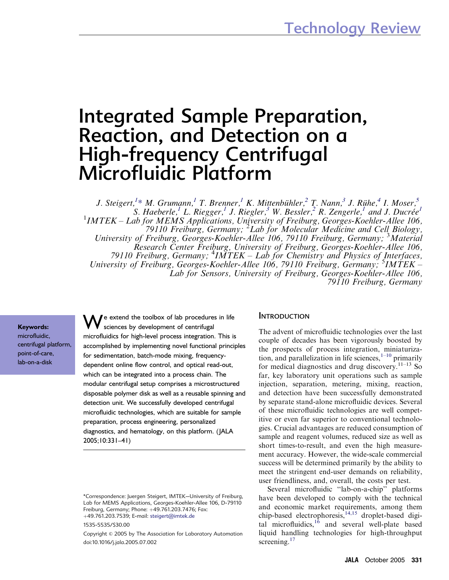# Integrated Sample Preparation, Reaction, and Detection on a High-frequency Centrifugal Microfluidic Platform

J. Steigert,<sup>1</sup>\* M. Grumann,<sup>1</sup> T. Brenner,<sup>1</sup> K. Mittenbühler,<sup>2</sup> T. Nann,<sup>3</sup> J. Rühe,<sup>4</sup> I. Moser,<sup>5</sup> S. Haeberle,<sup>1</sup> L. Riegger,<sup>1</sup> J. Riegler,<sup>3</sup> W. Bessler,<sup>2</sup> R. Zengerle,<sup>1</sup> and J. Ducrée<sup>1</sup> 1 IMTEK – Lab for MEMS Applications, University of Freiburg, Georges-Koehler-Allee 106, 79110 Freiburg, Germany; <sup>2</sup> Lab for Molecular Medicine and Cell Biology, University of Freiburg, Georges-Koehler-Allee 106, 79110 Freiburg, Germany; <sup>3</sup>Material Research Center Freiburg, University of Freiburg, Georges-Koehler-Allee 106, 79110 Freiburg, Germany; <sup>4</sup> IMTEK – Lab for Chemistry and Physics of Interfaces, University of Freiburg, Georges-Koehler-Allee 106, 79110 Freiburg, Germany; <sup>5</sup>IMTEK – Lab for Sensors, University of Freiburg, Georges-Koehler-Allee 106, 79110 Freiburg, Germany

Keywords:

microfluidic, centrifugal platform, point-of-care, lab-on-a-disk

e extend the toolbox of lab procedures in life sciences by development of centrifugal microfluidics for high-level process integration. This is accomplished by implementing novel functional principles for sedimentation, batch-mode mixing, frequencydependent online flow control, and optical read-out, which can be integrated into a process chain. The modular centrifugal setup comprises a microstructured disposable polymer disk as well as a reusable spinning and detection unit. We successfully developed centrifugal microfluidic technologies, which are suitable for sample preparation, process engineering, personalized diagnostics, and hematology, on this platform. (JALA 2005;10:331–41)

1535-5535/\$30.00

Copyright © 2005 by The Association for Laboratory Automation doi:10.1016/j.jala.2005.07.002

#### **INTRODUCTION**

The advent of microfluidic technologies over the last couple of decades has been vigorously boosted by the prospects of process integration, miniaturization, and parallelization in life sciences,  $1-10$  primarily for medical diagnostics and drug discovery.11–13 So far, key laboratory unit operations such as sample injection, separation, metering, mixing, reaction, and detection have been successfully demonstrated by separate stand-alone microfluidic devices. Several of these microfluidic technologies are well competitive or even far superior to conventional technologies. Crucial advantages are reduced consumption of sample and reagent volumes, reduced size as well as short times-to-result, and even the high measurement accuracy. However, the wide-scale commercial success will be determined primarily by the ability to meet the stringent end-user demands on reliability, user friendliness, and, overall, the costs per test.

Several microfluidic ''lab-on-a-chip'' platforms have been developed to comply with the technical and economic market requirements, among them chip-based electrophoresis,<sup>14,15</sup> droplet-based digital microfluidics, $16$  and several well-plate based liquid handling technologies for high-throughput screening. $17$ 

<sup>\*</sup>Correspondence: Juergen Steigert, IMTEK–University of Freiburg, Lab for MEMS Applications, Georges-Koehler-Allee 106, D-79110 Freiburg, Germany; Phone: +49.761.203.7476; Fax: þ49.761.203.7539; E-mail: [steigert@imtek.de](mailto:steigert@imtek.de)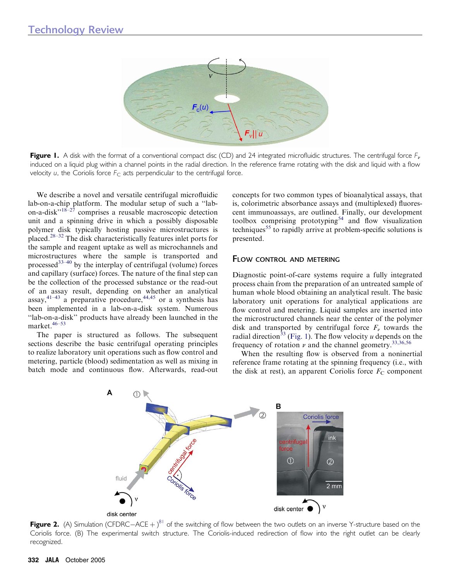<span id="page-1-0"></span>

Figure 1. A disk with the format of a conventional compact disc (CD) and 24 integrated microfluidic structures. The centrifugal force  $F_{\nu}$ induced on a liquid plug within a channel points in the radial direction. In the reference frame rotating with the disk and liquid with a flow velocity  $u$ , the Coriolis force  $F_C$  acts perpendicular to the centrifugal force.

We describe a novel and versatile centrifugal microfluidic lab-on-a-chip platform. The modular setup of such a ''labon-a-disk $^{18-27}$  comprises a reusable macroscopic detection unit and a spinning drive in which a possibly disposable polymer disk typically hosting passive microstructures is placed.28–32 The disk characteristically features inlet ports for the sample and reagent uptake as well as microchannels and microstructures where the sample is transported and processed $33-40$  by the interplay of centrifugal (volume) forces and capillary (surface) forces. The nature of the final step can be the collection of the processed substance or the read-out of an assay result, depending on whether an analytical assay,  $41-43$  a preparative procedure,  $44,45$  or a synthesis has been implemented in a lab-on-a-disk system. Numerous ''lab-on-a-disk'' products have already been launched in the market.46–53

The paper is structured as follows. The subsequent sections describe the basic centrifugal operating principles to realize laboratory unit operations such as flow control and metering, particle (blood) sedimentation as well as mixing in batch mode and continuous flow. Afterwards, read-out

concepts for two common types of bioanalytical assays, that is, colorimetric absorbance assays and (multiplexed) fluorescent immunoassays, are outlined. Finally, our development toolbox comprising prototyping<sup>[54](#page-10-0)</sup> and flow visualization techniques<sup>[55](#page-10-0)</sup> to rapidly arrive at problem-specific solutions is presented.

#### FLOW CONTROL AND METERING

Diagnostic point-of-care systems require a fully integrated process chain from the preparation of an untreated sample of human whole blood obtaining an analytical result. The basic laboratory unit operations for analytical applications are flow control and metering. Liquid samples are inserted into the microstructured channels near the center of the polymer disk and transported by centrifugal force  $F_{\nu}$  towards the radial direction<sup>[33](#page-9-0)</sup> (Fig. 1). The flow velocity u depends on the frequency of rotation  $\nu$  and the channel geometry.<sup>33,36,56</sup>

When the resulting flow is observed from a noninertial reference frame rotating at the spinning frequency (i.e., with the disk at rest), an apparent Coriolis force  $F_C$  component



Figure 2. (A) Simulation (CFDRC–ACE + )<sup>[81](#page-10-0)</sup> of the switching of flow between the two outlets on an inverse Y-structure based on the Coriolis force. (B) The experimental switch structure. The Coriolis-induced redirection of flow into the right outlet can be clearly recognized.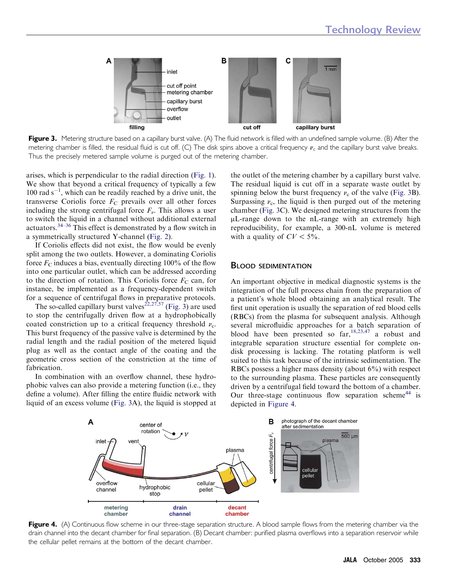

Figure 3. Metering structure based on a capillary burst valve. (A) The fluid network is filled with an undefined sample volume. (B) After the metering chamber is filled, the residual fluid is cut off. (C) The disk spins above a critical frequency  $v_c$  and the capillary burst valve breaks. Thus the precisely metered sample volume is purged out of the metering chamber.

arises, which is perpendicular to the radial direction ([Fig. 1\)](#page-1-0). We show that beyond a critical frequency of typically a few  $100$  rad s<sup>-1</sup>, which can be readily reached by a drive unit, the transverse Coriolis force  $F<sub>C</sub>$  prevails over all other forces including the strong centrifugal force  $F_{\nu}$ . This allows a user to switch the liquid in a channel without additional external actuators.34–36 This effect is demonstrated by a flow switch in a symmetrically structured Y-channel [\(Fig. 2\)](#page-1-0).

If Coriolis effects did not exist, the flow would be evenly split among the two outlets. However, a dominating Coriolis force  $F_C$  induces a bias, eventually directing 100% of the flow into one particular outlet, which can be addressed according to the direction of rotation. This Coriolis force  $F<sub>C</sub>$  can, for instance, be implemented as a frequency-dependent switch for a sequence of centrifugal flows in preparative protocols.

The so-called capillary burst valves<sup>22,27,57</sup> (Fig. 3) are used to stop the centrifugally driven flow at a hydrophobically coated constriction up to a critical frequency threshold  $v_c$ . This burst frequency of the passive valve is determined by the radial length and the radial position of the metered liquid plug as well as the contact angle of the coating and the geometric cross section of the constriction at the time of fabrication.

In combination with an overflow channel, these hydrophobic valves can also provide a metering function (i.e., they define a volume). After filling the entire fluidic network with liquid of an excess volume (Fig. 3A), the liquid is stopped at

the outlet of the metering chamber by a capillary burst valve. The residual liquid is cut off in a separate waste outlet by spinning below the burst frequency  $v_c$  of the valve (Fig. 3B). Surpassing  $v_c$ , the liquid is then purged out of the metering chamber (Fig. 3C). We designed metering structures from the mL-range down to the nL-range with an extremely high reproducibility, for example, a 300-nL volume is metered with a quality of  $CV < 5\%$ .

## BLOOD SEDIMENTATION

An important objective in medical diagnostic systems is the integration of the full process chain from the preparation of a patient's whole blood obtaining an analytical result. The first unit operation is usually the separation of red blood cells (RBCs) from the plasma for subsequent analysis. Although several microfluidic approaches for a batch separation of blood have been presented so far,<sup>18,23,47</sup> a robust and integrable separation structure essential for complete ondisk processing is lacking. The rotating platform is well suited to this task because of the intrinsic sedimentation. The RBCs possess a higher mass density (about 6%) with respect to the surrounding plasma. These particles are consequently driven by a centrifugal field toward the bottom of a chamber. Our three-stage continuous flow separation scheme<sup>[44](#page-9-0)</sup> is depicted in Figure 4.



Figure 4. (A) Continuous flow scheme in our three-stage separation structure. A blood sample flows from the metering chamber via the drain channel into the decant chamber for final separation. (B) Decant chamber: purified plasma overflows into a separation reservoir while the cellular pellet remains at the bottom of the decant chamber.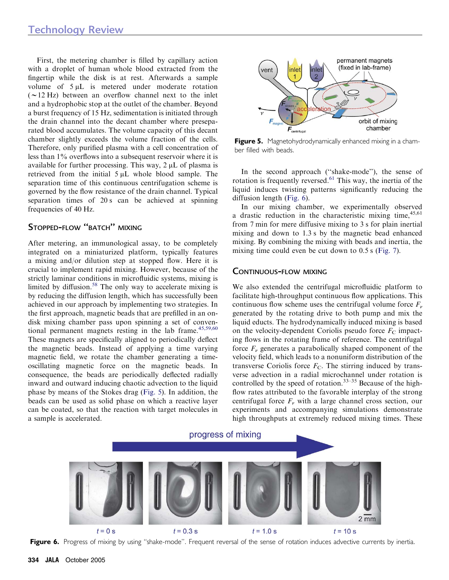First, the metering chamber is filled by capillary action with a droplet of human whole blood extracted from the fingertip while the disk is at rest. Afterwards a sample volume of  $5 \mu L$  is metered under moderate rotation (*w*12 Hz) between an overflow channel next to the inlet and a hydrophobic stop at the outlet of the chamber. Beyond a burst frequency of 15 Hz, sedimentation is initiated through the drain channel into the decant chamber where preseparated blood accumulates. The volume capacity of this decant chamber slightly exceeds the volume fraction of the cells. Therefore, only purified plasma with a cell concentration of less than 1% overflows into a subsequent reservoir where it is available for further processing. This way,  $2 \mu L$  of plasma is retrieved from the initial  $5 \mu L$  whole blood sample. The separation time of this continuous centrifugation scheme is governed by the flow resistance of the drain channel. Typical separation times of 20 s can be achieved at spinning frequencies of 40 Hz.

# STOPPED-FLOW ''BATCH'' MIXING

After metering, an immunological assay, to be completely integrated on a miniaturized platform, typically features a mixing and/or dilution step at stopped flow. Here it is crucial to implement rapid mixing. However, because of the strictly laminar conditions in microfluidic systems, mixing is limited by diffusion.<sup>[58](#page-10-0)</sup> The only way to accelerate mixing is by reducing the diffusion length, which has successfully been achieved in our approach by implementing two strategies. In the first approach, magnetic beads that are prefilled in an ondisk mixing chamber pass upon spinning a set of conventional permanent magnets resting in the lab frame. $45,59,60$ These magnets are specifically aligned to periodically deflect the magnetic beads. Instead of applying a time varying magnetic field, we rotate the chamber generating a timeoscillating magnetic force on the magnetic beads. In consequence, the beads are periodically deflected radially inward and outward inducing chaotic advection to the liquid phase by means of the Stokes drag (Fig. 5). In addition, the beads can be used as solid phase on which a reactive layer can be coated, so that the reaction with target molecules in a sample is accelerated.



Figure 5. Magnetohydrodynamically enhanced mixing in a chamber filled with beads.

In the second approach (''shake-mode''), the sense of rotation is frequently reversed.<sup>[61](#page-10-0)</sup> This way, the inertia of the liquid induces twisting patterns significantly reducing the diffusion length (Fig. 6).

In our mixing chamber, we experimentally observed a drastic reduction in the characteristic mixing time,  $45,61$ from 7 min for mere diffusive mixing to 3 s for plain inertial mixing and down to 1.3 s by the magnetic bead enhanced mixing. By combining the mixing with beads and inertia, the mixing time could even be cut down to 0.5 s ([Fig. 7\)](#page-4-0).

## CONTINUOUS-FLOW MIXING

We also extended the centrifugal microfluidic platform to facilitate high-throughput continuous flow applications. This continuous flow scheme uses the centrifugal volume force  $F_{\nu}$ generated by the rotating drive to both pump and mix the liquid educts. The hydrodynamically induced mixing is based on the velocity-dependent Coriolis pseudo force  $F<sub>C</sub>$  impacting flows in the rotating frame of reference. The centrifugal force  $F_\nu$  generates a parabolically shaped component of the velocity field, which leads to a nonuniform distribution of the transverse Coriolis force  $F<sub>C</sub>$ . The stirring induced by transverse advection in a radial microchannel under rotation is controlled by the speed of rotation.<sup>33–35</sup> Because of the highflow rates attributed to the favorable interplay of the strong centrifugal force  $F_\nu$  with a large channel cross section, our experiments and accompanying simulations demonstrate high throughputs at extremely reduced mixing times. These



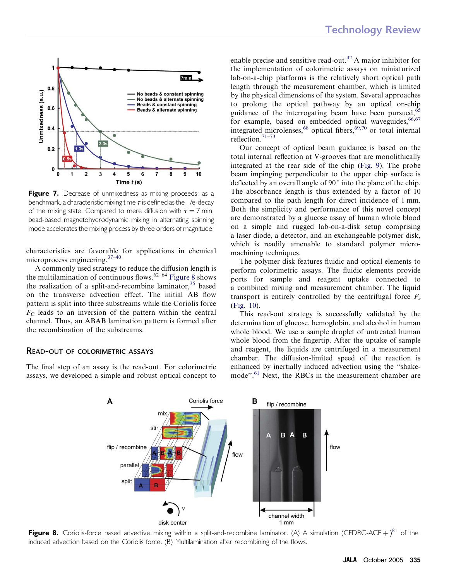<span id="page-4-0"></span>

Figure 7. Decrease of unmixedness as mixing proceeds: as a benchmark, a characteristic mixing time  $\tau$  is defined as the 1/e-decay of the mixing state. Compared to mere diffusion with  $\tau = 7$  min, bead-based magnetohydrodynamic mixing in alternating spinning mode accelerates the mixing process by three orders of magnitude.

characteristics are favorable for applications in chemical microprocess engineering.37–40

A commonly used strategy to reduce the diffusion length is the multilamination of continuous flows.<sup>62–64</sup> Figure 8 shows the realization of a split-and-recombine laminator,  $35$  based on the transverse advection effect. The initial AB flow pattern is split into three substreams while the Coriolis force  $F<sub>C</sub>$  leads to an inversion of the pattern within the central channel. Thus, an ABAB lamination pattern is formed after the recombination of the substreams.

#### READ-OUT OF COLORIMETRIC ASSAYS

The final step of an assay is the read-out. For colorimetric assays, we developed a simple and robust optical concept to enable precise and sensitive read-out.[42](#page-9-0) A major inhibitor for the implementation of colorimetric assays on miniaturized lab-on-a-chip platforms is the relatively short optical path length through the measurement chamber, which is limited by the physical dimensions of the system. Several approaches to prolong the optical pathway by an optical on-chip guidance of the interrogating beam have been pursued,<sup>[65](#page-10-0)</sup> for example, based on embedded optical waveguides,  $66,67$ integrated microlenses,  $68$  optical fibers,  $69,70$  or total internal reflection.71–73

Our concept of optical beam guidance is based on the total internal reflection at V-grooves that are monolithically integrated at the rear side of the chip [\(Fig. 9\)](#page-5-0). The probe beam impinging perpendicular to the upper chip surface is deflected by an overall angle of  $90^\circ$  into the plane of the chip. The absorbance length is thus extended by a factor of 10 compared to the path length for direct incidence of 1 mm. Both the simplicity and performance of this novel concept are demonstrated by a glucose assay of human whole blood on a simple and rugged lab-on-a-disk setup comprising a laser diode, a detector, and an exchangeable polymer disk, which is readily amenable to standard polymer micromachining techniques.

The polymer disk features fluidic and optical elements to perform colorimetric assays. The fluidic elements provide ports for sample and reagent uptake connected to a combined mixing and measurement chamber. The liquid transport is entirely controlled by the centrifugal force  $F_{\nu}$ [\(Fig. 10](#page-5-0)).

This read-out strategy is successfully validated by the determination of glucose, hemoglobin, and alcohol in human whole blood. We use a sample droplet of untreated human whole blood from the fingertip. After the uptake of sample and reagent, the liquids are centrifuged in a measurement chamber. The diffusion-limited speed of the reaction is enhanced by inertially induced advection using the ''shake-mode".<sup>[61](#page-10-0)</sup> Next, the RBCs in the measurement chamber are



Figure 8. Coriolis-force based advective mixing within a split-and-recombine laminator. (A) A simulation (CFDRC-ACE + ) $^{81}$  $^{81}$  $^{81}$  of the induced advection based on the Coriolis force. (B) Multilamination after recombining of the flows.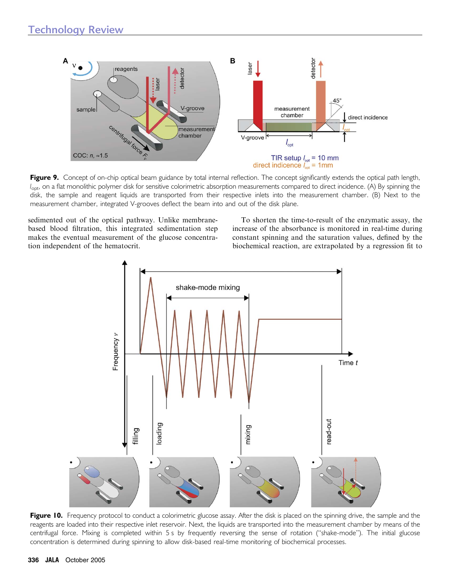<span id="page-5-0"></span>

Figure 9. Concept of on-chip optical beam guidance by total internal reflection. The concept significantly extends the optical path length,  $l_{\rm opt}$ , on a flat monolithic polymer disk for sensitive colorimetric absorption measurements compared to direct incidence. (A) By spinning the disk, the sample and reagent liquids are transported from their respective inlets into the measurement chamber. (B) Next to the measurement chamber, integrated V-grooves deflect the beam into and out of the disk plane.

sedimented out of the optical pathway. Unlike membranebased blood filtration, this integrated sedimentation step makes the eventual measurement of the glucose concentration independent of the hematocrit.

To shorten the time-to-result of the enzymatic assay, the increase of the absorbance is monitored in real-time during constant spinning and the saturation values, defined by the biochemical reaction, are extrapolated by a regression fit to



Figure 10. Frequency protocol to conduct a colorimetric glucose assay. After the disk is placed on the spinning drive, the sample and the reagents are loaded into their respective inlet reservoir. Next, the liquids are transported into the measurement chamber by means of the centrifugal force. Mixing is completed within 5 s by frequently reversing the sense of rotation (''shake-mode''). The initial glucose concentration is determined during spinning to allow disk-based real-time monitoring of biochemical processes.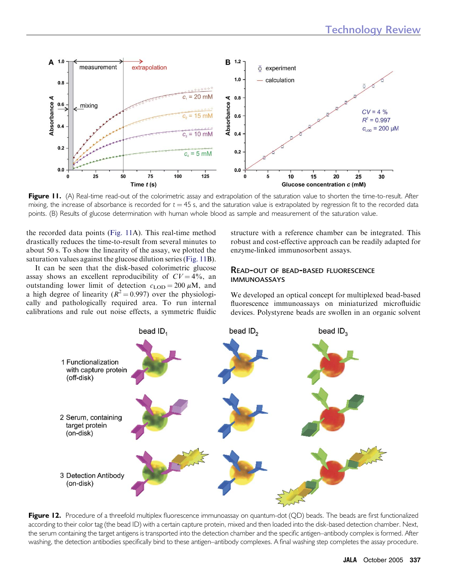<span id="page-6-0"></span>

Figure 11. (A) Real-time read-out of the colorimetric assay and extrapolation of the saturation value to shorten the time-to-result. After mixing, the increase of absorbance is recorded for  $t = 45$  s, and the saturation value is extrapolated by regression fit to the recorded data points. (B) Results of glucose determination with human whole blood as sample and measurement of the saturation value.

the recorded data points (Fig. 11A). This real-time method drastically reduces the time-to-result from several minutes to about 50 s. To show the linearity of the assay, we plotted the saturation values against the glucose dilution series (Fig. 11B).

It can be seen that the disk-based colorimetric glucose assay shows an excellent reproducibility of  $CV = 4\%$ , an outstanding lower limit of detection  $c_{\text{LOD}} = 200 \mu M$ , and a high degree of linearity ( $R^2 = 0.997$ ) over the physiologically and pathologically required area. To run internal calibrations and rule out noise effects, a symmetric fluidic structure with a reference chamber can be integrated. This robust and cost-effective approach can be readily adapted for enzyme-linked immunosorbent assays.

#### READ-OUT OF BEAD-BASED FLUORESCENCE IMMUNOASSAYS

We developed an optical concept for multiplexed bead-based fluorescence immunoassays on miniaturized microfluidic devices. Polystyrene beads are swollen in an organic solvent



Figure 12. Procedure of a threefold multiplex fluorescence immunoassay on quantum-dot (QD) beads. The beads are first functionalized according to their color tag (the bead ID) with a certain capture protein, mixed and then loaded into the disk-based detection chamber. Next, the serum containing the target antigens is transported into the detection chamber and the specific antigen–antibody complex is formed. After washing, the detection antibodies specifically bind to these antigen–antibody complexes. A final washing step completes the assay procedure.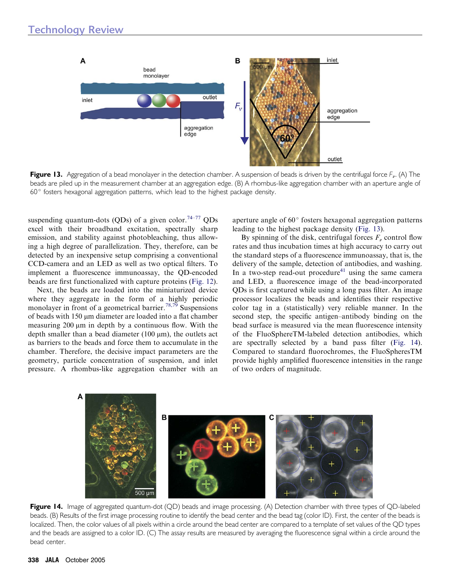

Figure 13. Aggregation of a bead monolayer in the detection chamber. A suspension of beads is driven by the centrifugal force  $F_p$ . (A) The beads are piled up in the measurement chamber at an aggregation edge. (B) A rhombus-like aggregation chamber with an aperture angle of 60° fosters hexagonal aggregation patterns, which lead to the highest package density.

suspending quantum-dots (QDs) of a given color.<sup>74–77</sup> QDs excel with their broadband excitation, spectrally sharp emission, and stability against photobleaching, thus allowing a high degree of parallelization. They, therefore, can be detected by an inexpensive setup comprising a conventional CCD-camera and an LED as well as two optical filters. To implement a fluorescence immunoassay, the QD-encoded beads are first functionalized with capture proteins [\(Fig. 12](#page-6-0)).

Next, the beads are loaded into the miniaturized device where they aggregate in the form of a highly periodic monolayer in front of a geometrical barrier.<sup>78,79</sup> Suspensions of beads with  $150 \mu m$  diameter are loaded into a flat chamber measuring  $200 \mu m$  in depth by a continuous flow. With the depth smaller than a bead diameter  $(100 \mu m)$ , the outlets act as barriers to the beads and force them to accumulate in the chamber. Therefore, the decisive impact parameters are the geometry, particle concentration of suspension, and inlet pressure. A rhombus-like aggregation chamber with an aperture angle of  $60^\circ$  fosters hexagonal aggregation patterns leading to the highest package density (Fig. 13).

By spinning of the disk, centrifugal forces  $F_\nu$  control flow rates and thus incubation times at high accuracy to carry out the standard steps of a fluorescence immunoassay, that is, the delivery of the sample, detection of antibodies, and washing. In a two-step read-out procedure<sup>[41](#page-9-0)</sup> using the same camera and LED, a fluorescence image of the bead-incorporated QDs is first captured while using a long pass filter. An image processor localizes the beads and identifies their respective color tag in a (statistically) very reliable manner. In the second step, the specific antigen–antibody binding on the bead surface is measured via the mean fluorescence intensity of the FluoSphereTM-labeled detection antibodies, which are spectrally selected by a band pass filter (Fig. 14). Compared to standard fluorochromes, the FluoSpheresTM provide highly amplified fluorescence intensities in the range of two orders of magnitude.



Figure 14. Image of aggregated quantum-dot (QD) beads and image processing. (A) Detection chamber with three types of QD-labeled beads. (B) Results of the first image processing routine to identify the bead center and the bead tag (color ID). First, the center of the beads is localized. Then, the color values of all pixels within a circle around the bead center are compared to a template of set values of the QD types and the beads are assigned to a color ID. (C) The assay results are measured by averaging the fluorescence signal within a circle around the bead center.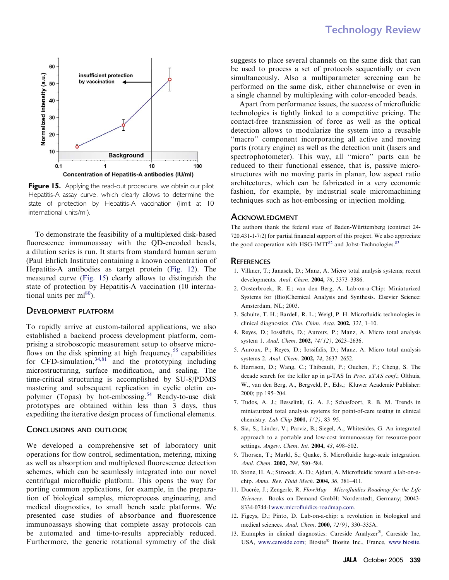

Figure 15. Applying the read-out procedure, we obtain our pilot Hepatitis-A assay curve, which clearly allows to determine the state of protection by Hepatitis-A vaccination (limit at 10 international units/ml).

To demonstrate the feasibility of a multiplexed disk-based fluorescence immunoassay with the QD-encoded beads, a dilution series is run. It starts from standard human serum (Paul Ehrlich Institute) containing a known concentration of Hepatitis-A antibodies as target protein ([Fig. 12](#page-6-0)). The measured curve (Fig. 15) clearly allows to distinguish the state of protection by Hepatitis-A vaccination (10 international units per  $ml^{80}$ ).

#### DEVELOPMENT PLATFORM

To rapidly arrive at custom-tailored applications, we also established a backend process development platform, comprising a stroboscopic measurement setup to observe microflows on the disk spinning at high frequency,  $55$  capabilities for CFD-simulation,  $34,81$  and the prototyping including microstructuring, surface modification, and sealing. The time-critical structuring is accomplished by SU-8/PDMS mastering and subsequent replication in cyclic oletin copolymer (Topas) by hot-embossing.[54](#page-10-0) Ready-to-use disk prototypes are obtained within less than 3 days, thus expediting the iterative design process of functional elements.

#### CONCLUSIONS AND OUTLOOK

We developed a comprehensive set of laboratory unit operations for flow control, sedimentation, metering, mixing as well as absorption and multiplexed fluorescence detection schemes, which can be seamlessly integrated into our novel centrifugal microfluidic platform. This opens the way for porting common applications, for example, in the preparation of biological samples, microprocess engineering, and medical diagnostics, to small bench scale platforms. We presented case studies of absorbance and fluorescence immunoassays showing that complete assay protocols can be automated and time-to-results appreciably reduced. Furthermore, the generic rotational symmetry of the disk

suggests to place several channels on the same disk that can be used to process a set of protocols sequentially or even simultaneously. Also a multiparameter screening can be performed on the same disk, either channelwise or even in a single channel by multiplexing with color-encoded beads.

Apart from performance issues, the success of microfluidic technologies is tightly linked to a competitive pricing. The contact-free transmission of force as well as the optical detection allows to modularize the system into a reusable ''macro'' component incorporating all active and moving parts (rotary engine) as well as the detection unit (lasers and spectrophotometer). This way, all ''micro'' parts can be reduced to their functional essence, that is, passive microstructures with no moving parts in planar, low aspect ratio architectures, which can be fabricated in a very economic fashion, for example, by industrial scale micromachining techniques such as hot-embossing or injection molding.

#### **ACKNOWLEDGMENT**

The authors thank the federal state of Baden-Württemberg (contract 24-720.431-1-7/2) for partial financial support of this project. We also appreciate the good cooperation with HSG-IMIT<sup>[82](#page-10-0)</sup> and Jobst-Technologies.<sup>[83](#page-10-0)</sup>

#### **REFERENCES**

- 1. Vilkner, T.; Janasek, D.; Manz, A. Micro total analysis systems; recent developments. Anal. Chem. 2004, 76, 3373–3386.
- 2. Oosterbroek, R. E.; van den Berg, A. Lab-on-a-Chip: Miniaturized Systems for (Bio)Chemical Analysis and Synthesis. Elsevier Science: Amsterdam, NL; 2003.
- 3. Schulte, T. H.; Bardell, R. L.; Weigl, P. H. Microfluidic technologies in clinical diagnostics. Clin. Chim. Acta. 2002, 321, 1-10.
- 4. Reyes, D.; Iossifidis, D.; Auroux, P.; Manz, A. Micro total analysis system 1. Anal. Chem. 2002, 74(12), 2623–2636.
- 5. Auroux, P.; Reyes, D.; Iossifidis, D.; Manz, A. Micro total analysis systems 2. Anal. Chem. 2002, 74, 2637–2652.
- 6. Harrison, D.; Wang, C.; Thibeault, P.; Ouchen, F.; Cheng, S. The decade search for the killer ap in  $\mu$ -TAS In *Proc.*  $\mu$ *TAS conf.*; Olthuis, W., van den Berg, A., Bergveld, P., Eds.; Kluwer Academic Publisher: 2000; pp 195–204.
- 7. Tudos, A. J.; Besselink, G. A. J.; Schasfoort, R. B. M. Trends in miniaturized total analysis systems for point-of-care testing in clinical chemistry. *Lab Chip* 2001,  $1(2)$ , 83-95.
- 8. Sia, S.; Linder, V.; Parviz, B.; Siegel, A.; Whitesides, G. An integrated approach to a portable and low-cost immunoassay for resource-poor settings. Angew. Chem. Int. 2004, 43, 498–502.
- 9. Thorsen, T.; Markl, S.; Quake, S. Microfluidic large-scale integration. Anal. Chem. 2002, 298, 580-584.
- 10. Stone, H. A.; Stroock, A. D.; Ajdari, A. Microfluidic toward a lab-on-achip. Annu. Rev. Fluid Mech. 2004, 36, 381–411.
- 11. Ducrée, J.; Zengerle, R.  $FlowMap Microfluidics$  Roadmap for the Life Sciences. Books on Demand GmbH: Norderstedt, Germany; 20043- 8334-0744-1[www.microfluidics-roadmap.com.](http://www.microfluidics-roadmap.com)
- 12. Figeys, D.; Pinto, D. Lab-on-a-chip: a revolution in biological and medical sciences. Anal. Chem. 2000, 72(9), 330–335A.
- 13. Examples in clinical diagnostics: Careside Analyzer®, Careside Inc, USA, [www.careside.com](http://www.careside.com); Biosite Biosite Inc., France, [www.biosite.](http://www.biosite.com)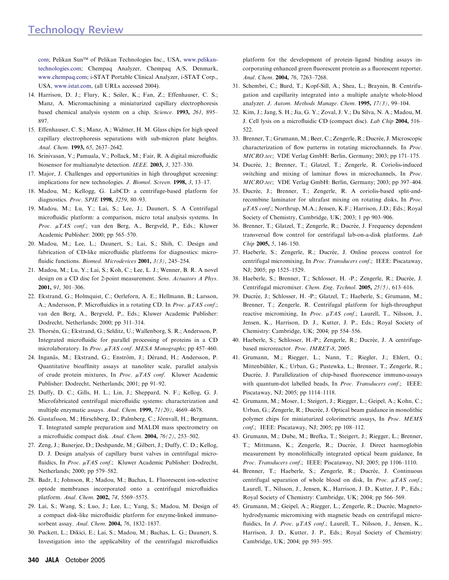<span id="page-9-0"></span>[com;](http://www.biosite.com) Pelikan Sun™ of Pelikan Technologies Inc., USA, [www.pelikan](http://www.pelikantechnologies.com)[technologies.com;](http://www.pelikantechnologies.com) Chempaq Analyzer, Chempaq A/S, Denmark, [www.chempaq.com;](http://www.chempaq.com) i-STAT Portable Clinical Analyzer, i-STAT Corp., USA, [www.istat.com](http://www.istat.com), (all URLs accessed 2004).

- 14. Harrison, D. J.; Flury, K.; Seiler, K.; Fan, Z.; Effenhauser, C. S.; Manz, A. Micromachining a miniaturized capillary electrophoresis based chemical analysis system on a chip. Science. 1993, 261, 895– 897.
- 15. Effenhauser, C. S.; Manz, A.; Widmer, H. M. Glass chips for high speed capillary electrophoresis separations with sub-micron plate heights. Anal. Chem. 1993, 65, 2637–2642.
- 16. Srinivasan, V.; Pamuala, V.; Pollack, M.; Fair, R. A digital microfluidic biosensor for multianalyte detection. IEEE. 2003, 3, 327-330.
- 17. Major, J. Challenges and opportunities in high throughput screening: implications for new technologies. J. Biomol. Screen. 1998, 3, 13-17.
- 18. Madou, M.; Kellogg, G. LabCD: a centrifuge-based platform for diagnostics. Proc. SPIE 1998, 3259, 80–93.
- 19. Madou, M.; Lu, Y.; Lai, S.; Lee, J.; Daunert, S. A Centrifugal microfluidic platform: a comparison, micro total analysis systems. In Proc.  $\mu TAS$  conf.; van den Berg, A., Bergveld, P., Eds.; Kluwer Academic Publisher: 2000; pp 565–570.
- 20. Madou, M.; Lee, L.; Daunert, S.; Lai, S.; Shih, C. Design and fabrication of CD-like microfluidic platforms for diagnostics: microfluidic functions. Biomed. Microdevices 2001, 3(3), 245-254.
- 21. Madou, M.; Lu, Y.; Lai, S.; Koh, C.; Lee, L. J.; Wenner, B. R. A novel design on a CD disc for 2-point measurement. Sens. Actuators A Phys. 2001, 91, 301–306.
- 22. Ekstrand, G.; Holmquist, C.; Oerleforn, A. E.; Hellmann, B.; Larsson, A.; Andersson, P. Microfluidics in a rotating CD. In Proc.  $\mu TAS$  conf.; van den Berg, A., Bergveld, P., Eds.; Kluwer Academic Publisher: Dodrecht, Netherlands; 2000; pp 311–314.
- 23. Thorsén, G.; Ekstrand, G.; Selditz, U.; Wallenborg, S. R.; Andersson, P. Integrated microfluidic for parallel processing of proteins in a CD microlaboratory. In Proc.  $\mu TAS$  conf. MESA Monographs; pp 457-460.
- 24. Inganäs, M.; Ekstrand, G.; Enström, J.; Dérand, H.; Andersson, P. Quantitative bioaffinity assays at nanoliter scale, parallel analysis of crude protein mixtures, In Proc.  $\mu TAS$  conf. Kluwer Academic Publisher: Dodrecht, Netherlands; 2001; pp 91–92.
- 25. Duffy, D. C.; Gills, H. L.; Lin, J.; Sheppard, N. F.; Kellog, G. J. Microfabricated centrifugal microfluidic systems: characterization and multiple enzymatic assays. Anal. Chem. 1999, 71(20), 4669–4678.
- 26. Gustafsson, M.; Hirschberg, D.; Palmberg, C.; Jörnvall, H.; Bergmann, T. Integrated sample preparation and MALDI mass spectrometry on a microfluidic compact disk. Anal. Chem.  $2004$ ,  $76(2)$ ,  $253-502$ .
- 27. Zeng, J.; Banerjee, D.; Deshpande, M.; Gilbert, J.; Duffy, C. D.; Kellog, D. J. Design analysis of capillary burst valves in centrifugal microfluidics, In Proc. µTAS conf.; Kluwer Academic Publisher: Dodrecht, Netherlands; 2000; pp 579–582.
- 28. Badr, I.; Johnson, R.; Madou, M.; Bachas, L. Fluorescent ion-selective optode membranes incorporated onto a centrifugal microfluidics platform. Anal. Chem. 2002, 74, 5569–5575.
- 29. Lai, S.; Wang, S.; Luo, J.; Lee, L.; Yang, S.; Madou, M. Design of a compact disk-like microfluidic platform for enzyme-linked immunosorbent assay. Anal. Chem. 2004, 76, 1832–1837.
- 30. Puckett, L.; Dikici, E.; Lai, S.; Madou, M.; Bachas, L. G.; Daunert, S. Investigation into the applicability of the centrifugal microfluidics

platform for the development of protein–ligand binding assays incorporating enhanced green fluorescent protein as a fluorescent reporter. Anal. Chem. 2004, 76, 7263–7268.

- 31. Schembri, C.; Burd, T.; Kopf-Sill, A.; Shea, L.; Braynin, B. Centrifugation and capillarity integrated into a multiple analyte whole-blood analyzer. J. Autom. Methods Manage. Chem. 1995, 17(3), 99–104.
- 32. Kim, J.; Jang, S. H.; Jia, G. Y.; Zoval, J. V.; Da Silva, N. A.; Madou, M. J. Cell lysis on a microfluidic CD (compact disc). Lab Chip 2004, 516– 522.
- 33. Brenner, T.; Grumann, M.; Beer, C.; Zengerle, R.; Ducrée, J. Microscopic characterization of flow patterns in rotating microchannels. In Proc. MICRO.tec; VDE Verlag GmbH: Berlin, Germany; 2003; pp 171–175.
- 34. Ducrée, J.; Brenner, T.; Glatzel, T.; Zengerle, R. Coriolis-induced switching and mixing of laminar flows in microchannels, In Proc. MICRO.tec; VDE Verlag GmbH: Berlin, Germany; 2003; pp 397–404.
- 35. Ducrée, J.; Brenner, T.; Zengerle, R. A coriolis-based split-andrecombine laminator for ultrafast mixing on rotating disks, In Proc. µTAS conf.; Northrup, M.A.; Jensen, K.F.; Harrison, J.D.; Eds.; Royal Society of Chemistry, Cambridge, UK; 2003; 1 pp 903–906.
- 36. Brenner, T.; Glatzel, T.; Zengerle, R.; Ducrée, J. Frequency dependent transversal flow control for centrifugal lab-on-a-disk platforms. Lab Chip 2005, 5, 146–150.
- 37. Haeberle, S.; Zengerle, R.; Ducrée, J. Online process control for centrifugal micromixing, In Proc. Transducers conf.; IEEE: Piscataway, NJ; 2005; pp 1525–1529.
- 38. Haeberle, S.; Brenner, T.; Schlosser, H. -P.; Zengerle, R.; Ducrée, J. Centrifugal micromixer. Chem. Eng. Technol. 2005, 25(5), 613–616.
- 39. Ducrée, J.; Schlosser, H. -P.; Glatzel, T.; Haeberle, S.; Grumann, M.; Brenner, T.; Zengerle, R. Centrifugal platform for high-throughput reactive micromixing, In Proc. uTAS conf.; Laurell, T., Nilsson, J., Jensen, K., Harrison, D. J., Kutter, J. P., Eds.; Royal Society of Chemistry: Cambridge, UK; 2004; pp 554–556.
- 40. Haeberle, S.; Schlosser, H.-P.; Zengerle, R.; Ducrée, J. A centrifugebased microreactor. Proc. IMRET-8, 2005.
- 41. Grumann, M.; Riegger, L.; Nann, T.; Riegler, J.; Ehlert, O.; Mittenbühler, K.; Urban, G.; Pastewka, L.; Brenner, T.; Zengerle, R.; Ducrée, J. Parallelization of chip-based fluorescence immuno-assays with quantum-dot labelled beads, In Proc. Transducers conf.; IEEE: Piscataway, NJ; 2005; pp 1114–1118.
- 42. Grumann, M.; Moser, I.; Steigert, J.; Riegger, L.; Geipel, A.; Kohn, C.; Urban, G.; Zengerle, R.; Ducrée, J. Optical beam guidance in monolithic polymer chips for miniaturized colorimetric assays, In Proc. MEMS conf.; IEEE: Piscataway, NJ; 2005; pp 108–112.
- 43. Grumann, M.; Dube, M.; Brefka, T.; Steigert, J.; Riegger, L.; Brenner, T.; Mittmann, K.; Zengerle, R.; Ducrée, J. Direct haemoglobin measurement by monolithically integrated optical beam guidance, In Proc. Transducers conf.; IEEE: Piscataway, NJ; 2005; pp 1106–1110.
- 44. Brenner, T.; Haeberle, S.; Zengerle, R.; Ducrée, J. Continuous centrifugal separation of whole blood on disk, In Proc.  $\mu TAS$  conf.; Laurell, T., Nilsson, J., Jensen, K., Harrison, J. D., Kutter, J. P., Eds.; Royal Society of Chemistry: Cambridge, UK; 2004; pp 566–569.
- 45. Grumann, M.; Geipel, A.; Riegger, L.; Zengerle, R.; Ducrée, Magnetohydrodynamic micromixing with magnetic beads on centrifugal microfluidics, In J. Proc. µTAS conf.; Laurell, T., Nilsson, J., Jensen, K., Harrison, J. D., Kutter, J. P., Eds.; Royal Society of Chemistry: Cambridge, UK; 2004; pp 593–595.